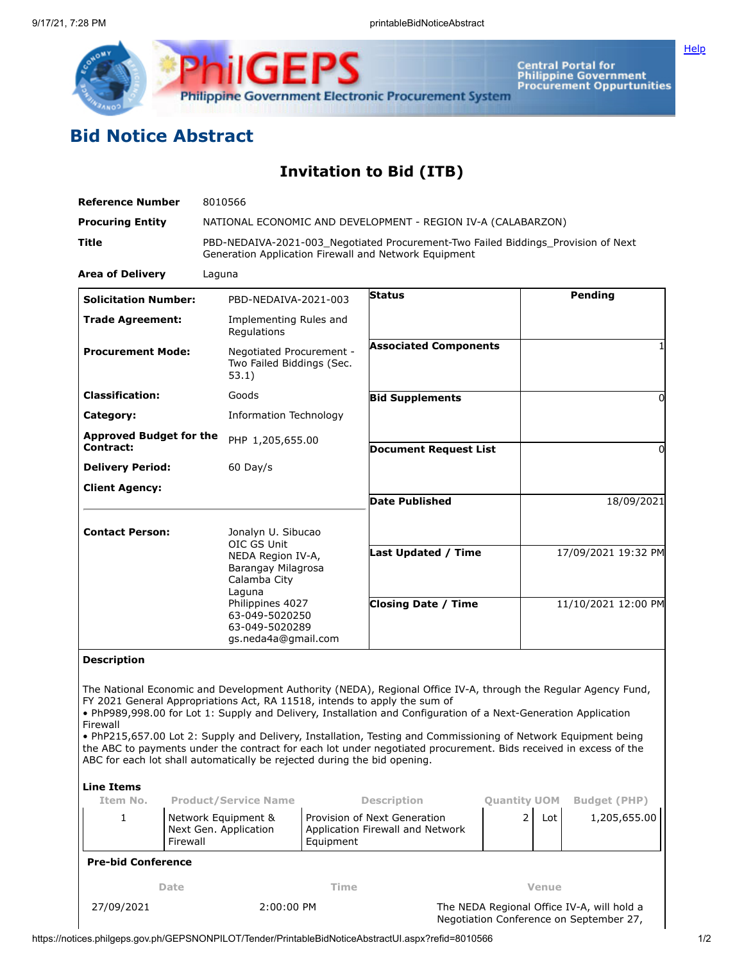

**Central Portal for<br>Philippine Government<br>Procurement Oppurtunities** 

## **Bid Notice Abstract**

## **Invitation to Bid (ITB)**

| <b>Reference Number</b>                                                                                    |                                                                                         | 8010566                                                                                                                                                                               |                                                                                                     |                                                                                                                                                                                                                                                                                                                                                                                                                                                                                                                                                      |  |                                              |                                     |
|------------------------------------------------------------------------------------------------------------|-----------------------------------------------------------------------------------------|---------------------------------------------------------------------------------------------------------------------------------------------------------------------------------------|-----------------------------------------------------------------------------------------------------|------------------------------------------------------------------------------------------------------------------------------------------------------------------------------------------------------------------------------------------------------------------------------------------------------------------------------------------------------------------------------------------------------------------------------------------------------------------------------------------------------------------------------------------------------|--|----------------------------------------------|-------------------------------------|
| <b>Procuring Entity</b>                                                                                    |                                                                                         | NATIONAL ECONOMIC AND DEVELOPMENT - REGION IV-A (CALABARZON)                                                                                                                          |                                                                                                     |                                                                                                                                                                                                                                                                                                                                                                                                                                                                                                                                                      |  |                                              |                                     |
| Title                                                                                                      |                                                                                         | PBD-NEDAIVA-2021-003 Negotiated Procurement-Two Failed Biddings Provision of Next<br>Generation Application Firewall and Network Equipment                                            |                                                                                                     |                                                                                                                                                                                                                                                                                                                                                                                                                                                                                                                                                      |  |                                              |                                     |
| <b>Area of Delivery</b>                                                                                    |                                                                                         | Laguna                                                                                                                                                                                |                                                                                                     |                                                                                                                                                                                                                                                                                                                                                                                                                                                                                                                                                      |  |                                              |                                     |
| <b>Solicitation Number:</b>                                                                                |                                                                                         | PBD-NEDAIVA-2021-003                                                                                                                                                                  |                                                                                                     | <b>Status</b>                                                                                                                                                                                                                                                                                                                                                                                                                                                                                                                                        |  |                                              | Pending                             |
| <b>Trade Agreement:</b>                                                                                    |                                                                                         | Implementing Rules and<br>Regulations                                                                                                                                                 |                                                                                                     |                                                                                                                                                                                                                                                                                                                                                                                                                                                                                                                                                      |  |                                              |                                     |
| <b>Procurement Mode:</b>                                                                                   |                                                                                         | Negotiated Procurement -<br>Two Failed Biddings (Sec.<br>53.1)                                                                                                                        |                                                                                                     | <b>Associated Components</b>                                                                                                                                                                                                                                                                                                                                                                                                                                                                                                                         |  |                                              |                                     |
| <b>Classification:</b>                                                                                     |                                                                                         | Goods                                                                                                                                                                                 |                                                                                                     | <b>Bid Supplements</b>                                                                                                                                                                                                                                                                                                                                                                                                                                                                                                                               |  | $\Omega$                                     |                                     |
| Category:                                                                                                  |                                                                                         | Information Technology                                                                                                                                                                |                                                                                                     |                                                                                                                                                                                                                                                                                                                                                                                                                                                                                                                                                      |  |                                              |                                     |
| <b>Approved Budget for the</b>                                                                             |                                                                                         | PHP 1,205,655.00                                                                                                                                                                      |                                                                                                     |                                                                                                                                                                                                                                                                                                                                                                                                                                                                                                                                                      |  |                                              |                                     |
| Contract:<br><b>Delivery Period:</b>                                                                       |                                                                                         | $60$ Day/s                                                                                                                                                                            |                                                                                                     | <b>Document Request List</b>                                                                                                                                                                                                                                                                                                                                                                                                                                                                                                                         |  |                                              | 0                                   |
| <b>Client Agency:</b>                                                                                      |                                                                                         |                                                                                                                                                                                       |                                                                                                     |                                                                                                                                                                                                                                                                                                                                                                                                                                                                                                                                                      |  |                                              |                                     |
|                                                                                                            |                                                                                         |                                                                                                                                                                                       |                                                                                                     | <b>Date Published</b>                                                                                                                                                                                                                                                                                                                                                                                                                                                                                                                                |  | 18/09/2021                                   |                                     |
| <b>Contact Person:</b>                                                                                     |                                                                                         | Jonalyn U. Sibucao<br>OIC GS Unit<br>NEDA Region IV-A,<br>Barangay Milagrosa<br>Calamba City<br>Laguna<br>Philippines 4027<br>63-049-5020250<br>63-049-5020289<br>gs.neda4a@gmail.com |                                                                                                     | <b>Last Updated / Time</b><br><b>Closing Date / Time</b>                                                                                                                                                                                                                                                                                                                                                                                                                                                                                             |  | 17/09/2021 19:32 PM<br>11/10/2021 12:00 PM   |                                     |
|                                                                                                            |                                                                                         |                                                                                                                                                                                       |                                                                                                     |                                                                                                                                                                                                                                                                                                                                                                                                                                                                                                                                                      |  |                                              |                                     |
| <b>Description</b><br>Firewall<br>ABC for each lot shall automatically be rejected during the bid opening. |                                                                                         |                                                                                                                                                                                       |                                                                                                     | The National Economic and Development Authority (NEDA), Regional Office IV-A, through the Regular Agency Fund,<br>FY 2021 General Appropriations Act, RA 11518, intends to apply the sum of<br>. PhP989,998.00 for Lot 1: Supply and Delivery, Installation and Configuration of a Next-Generation Application<br>. PhP215,657.00 Lot 2: Supply and Delivery, Installation, Testing and Commissioning of Network Equipment being<br>the ABC to payments under the contract for each lot under negotiated procurement. Bids received in excess of the |  |                                              |                                     |
| <b>Line Items</b>                                                                                          |                                                                                         |                                                                                                                                                                                       |                                                                                                     |                                                                                                                                                                                                                                                                                                                                                                                                                                                                                                                                                      |  |                                              |                                     |
| Item No.<br>1                                                                                              | <b>Product/Service Name</b><br>Network Equipment &<br>Next Gen. Application<br>Firewall |                                                                                                                                                                                       | <b>Description</b><br>Provision of Next Generation<br>Application Firewall and Network<br>Equipment |                                                                                                                                                                                                                                                                                                                                                                                                                                                                                                                                                      |  | <b>Quantity UOM</b><br>$\overline{2}$<br>Lot | <b>Budget (PHP)</b><br>1,205,655.00 |
| <b>Pre-bid Conference</b>                                                                                  |                                                                                         |                                                                                                                                                                                       |                                                                                                     |                                                                                                                                                                                                                                                                                                                                                                                                                                                                                                                                                      |  |                                              |                                     |
| Date                                                                                                       |                                                                                         | Time                                                                                                                                                                                  |                                                                                                     |                                                                                                                                                                                                                                                                                                                                                                                                                                                                                                                                                      |  | <b>Venue</b>                                 |                                     |
| 27/09/2021                                                                                                 | 2:00:00 PM                                                                              |                                                                                                                                                                                       |                                                                                                     | The NEDA Regional Office IV-A, will hold a<br>Negotiation Conference on September 27,                                                                                                                                                                                                                                                                                                                                                                                                                                                                |  |                                              |                                     |

 $\overline{\phantom{a}}$